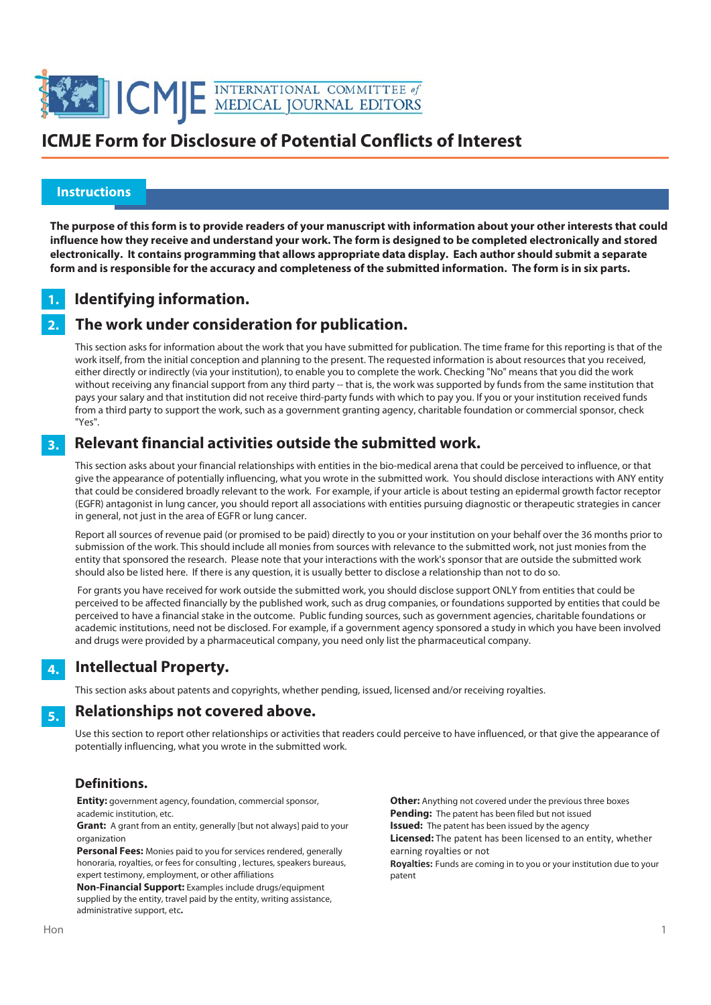

#### **Instructions**

 l

> **The purpose of this form is to provide readers of your manuscript with information about your other interests that could influence how they receive and understand your work. The form is designed to be completed electronically and stored electronically. It contains programming that allows appropriate data display. Each author should submit a separate form and is responsible for the accuracy and completeness of the submitted information. The form is in six parts.**

#### **Identifying information. 1.**

#### **The work under consideration for publication. 2.**

This section asks for information about the work that you have submitted for publication. The time frame for this reporting is that of the work itself, from the initial conception and planning to the present. The requested information is about resources that you received, either directly or indirectly (via your institution), to enable you to complete the work. Checking "No" means that you did the work without receiving any financial support from any third party -- that is, the work was supported by funds from the same institution that pays your salary and that institution did not receive third-party funds with which to pay you. If you or your institution received funds from a third party to support the work, such as a government granting agency, charitable foundation or commercial sponsor, check "Yes".

#### **Relevant financial activities outside the submitted work. 3.**

This section asks about your financial relationships with entities in the bio-medical arena that could be perceived to influence, or that give the appearance of potentially influencing, what you wrote in the submitted work. You should disclose interactions with ANY entity that could be considered broadly relevant to the work. For example, if your article is about testing an epidermal growth factor receptor (EGFR) antagonist in lung cancer, you should report all associations with entities pursuing diagnostic or therapeutic strategies in cancer in general, not just in the area of EGFR or lung cancer.

Report all sources of revenue paid (or promised to be paid) directly to you or your institution on your behalf over the 36 months prior to submission of the work. This should include all monies from sources with relevance to the submitted work, not just monies from the entity that sponsored the research. Please note that your interactions with the work's sponsor that are outside the submitted work should also be listed here. If there is any question, it is usually better to disclose a relationship than not to do so.

 For grants you have received for work outside the submitted work, you should disclose support ONLY from entities that could be perceived to be affected financially by the published work, such as drug companies, or foundations supported by entities that could be perceived to have a financial stake in the outcome. Public funding sources, such as government agencies, charitable foundations or academic institutions, need not be disclosed. For example, if a government agency sponsored a study in which you have been involved and drugs were provided by a pharmaceutical company, you need only list the pharmaceutical company.

#### **Intellectual Property. 4.**

This section asks about patents and copyrights, whether pending, issued, licensed and/or receiving royalties.

#### **Relationships not covered above. 5.**

Use this section to report other relationships or activities that readers could perceive to have influenced, or that give the appearance of potentially influencing, what you wrote in the submitted work.

#### **Definitions.**

**Entity:** government agency, foundation, commercial sponsor, academic institution, etc.

**Grant:** A grant from an entity, generally [but not always] paid to your organization

**Personal Fees:** Monies paid to you for services rendered, generally honoraria, royalties, or fees for consulting , lectures, speakers bureaus, expert testimony, employment, or other affiliations

**Non-Financial Support:** Examples include drugs/equipment supplied by the entity, travel paid by the entity, writing assistance, administrative support, etc**.**

**Other:** Anything not covered under the previous three boxes **Pending:** The patent has been filed but not issued **Issued:** The patent has been issued by the agency **Licensed:** The patent has been licensed to an entity, whether earning royalties or not **Royalties:** Funds are coming in to you or your institution due to your patent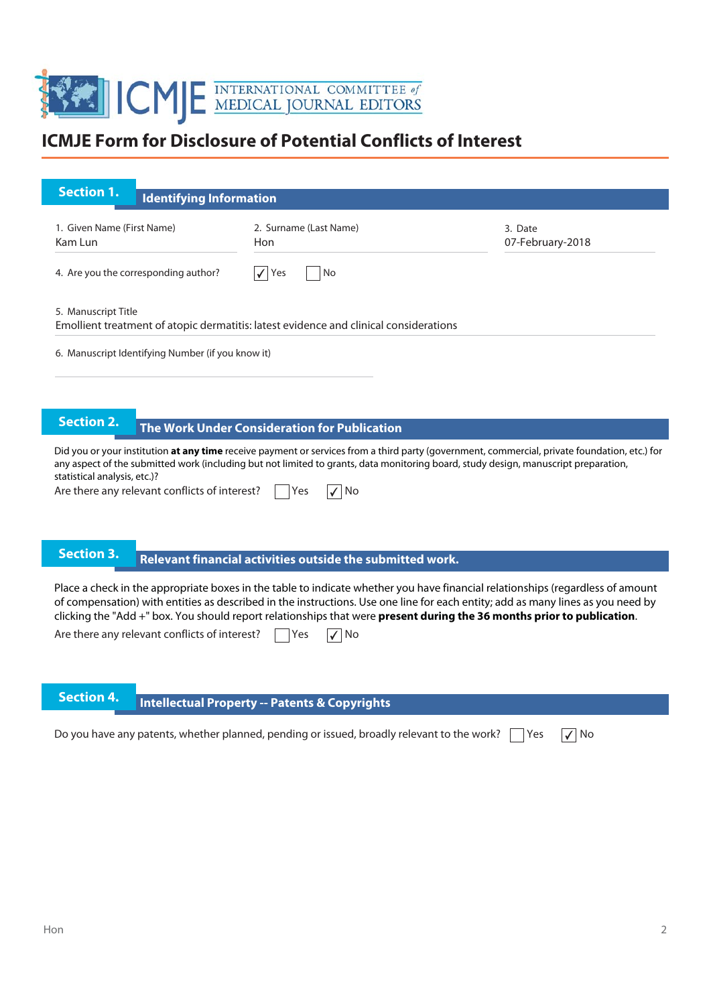

| <b>Section 1.</b><br><b>Identifying Information</b>                                                                                                                                                                                                                                                                                                                                |                                                                                                                                                                                                                                                                                                                                                                                                          |                             |  |  |  |
|------------------------------------------------------------------------------------------------------------------------------------------------------------------------------------------------------------------------------------------------------------------------------------------------------------------------------------------------------------------------------------|----------------------------------------------------------------------------------------------------------------------------------------------------------------------------------------------------------------------------------------------------------------------------------------------------------------------------------------------------------------------------------------------------------|-----------------------------|--|--|--|
| 1. Given Name (First Name)<br>Kam Lun                                                                                                                                                                                                                                                                                                                                              | 2. Surname (Last Name)<br>Hon                                                                                                                                                                                                                                                                                                                                                                            | 3. Date<br>07-February-2018 |  |  |  |
| 4. Are you the corresponding author?                                                                                                                                                                                                                                                                                                                                               | $\sqrt{\vert$ Yes<br>No                                                                                                                                                                                                                                                                                                                                                                                  |                             |  |  |  |
| 5. Manuscript Title                                                                                                                                                                                                                                                                                                                                                                | Emollient treatment of atopic dermatitis: latest evidence and clinical considerations                                                                                                                                                                                                                                                                                                                    |                             |  |  |  |
| 6. Manuscript Identifying Number (if you know it)                                                                                                                                                                                                                                                                                                                                  |                                                                                                                                                                                                                                                                                                                                                                                                          |                             |  |  |  |
|                                                                                                                                                                                                                                                                                                                                                                                    |                                                                                                                                                                                                                                                                                                                                                                                                          |                             |  |  |  |
| <b>Section 2.</b>                                                                                                                                                                                                                                                                                                                                                                  | The Work Under Consideration for Publication                                                                                                                                                                                                                                                                                                                                                             |                             |  |  |  |
| Did you or your institution at any time receive payment or services from a third party (government, commercial, private foundation, etc.) for<br>any aspect of the submitted work (including but not limited to grants, data monitoring board, study design, manuscript preparation,<br>statistical analysis, etc.)?<br>Are there any relevant conflicts of interest?<br>No<br>Yes |                                                                                                                                                                                                                                                                                                                                                                                                          |                             |  |  |  |
| <b>Section 3.</b>                                                                                                                                                                                                                                                                                                                                                                  | Relevant financial activities outside the submitted work.                                                                                                                                                                                                                                                                                                                                                |                             |  |  |  |
| Are there any relevant conflicts of interest?                                                                                                                                                                                                                                                                                                                                      | Place a check in the appropriate boxes in the table to indicate whether you have financial relationships (regardless of amount<br>of compensation) with entities as described in the instructions. Use one line for each entity; add as many lines as you need by<br>clicking the "Add +" box. You should report relationships that were present during the 36 months prior to publication.<br>No<br>Yes |                             |  |  |  |
| <b>Section 4.</b>                                                                                                                                                                                                                                                                                                                                                                  | <b>Intellectual Property -- Patents &amp; Copyrights</b>                                                                                                                                                                                                                                                                                                                                                 |                             |  |  |  |
|                                                                                                                                                                                                                                                                                                                                                                                    | Do you have any patents, whether planned, pending or issued, broadly relevant to the work?                                                                                                                                                                                                                                                                                                               | Yes<br>$\sqrt{ }$ No        |  |  |  |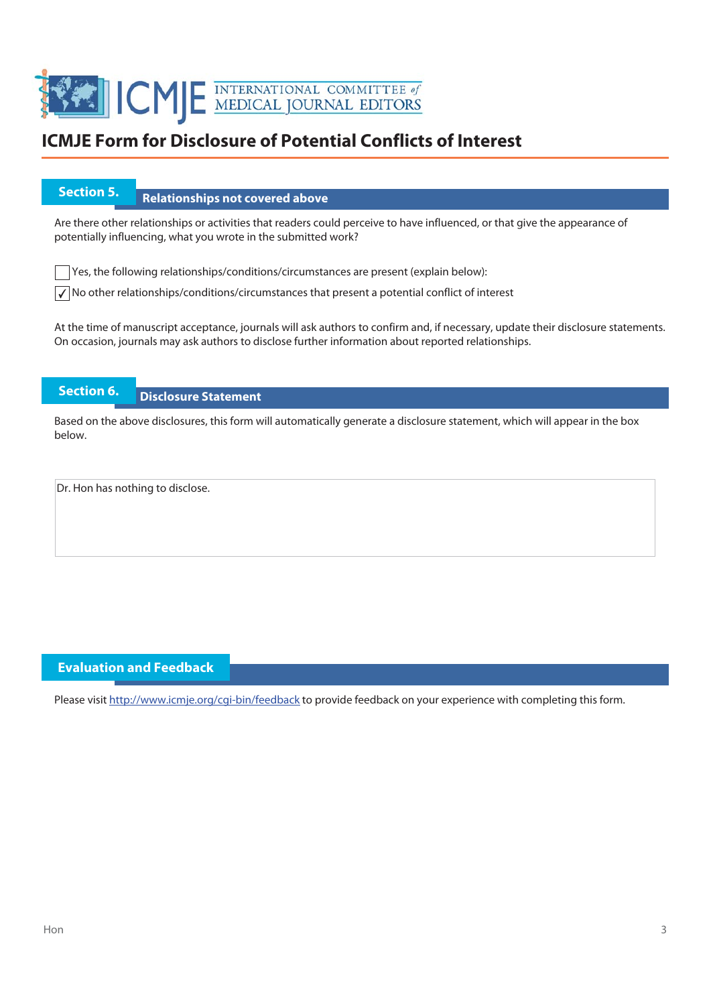

### **Section 5.** Relationships not covered above

Are there other relationships or activities that readers could perceive to have influenced, or that give the appearance of potentially influencing, what you wrote in the submitted work?

 $\Box$  Yes, the following relationships/conditions/circumstances are present (explain below):

 $\sqrt{\phantom{a}}$  No other relationships/conditions/circumstances that present a potential conflict of interest

At the time of manuscript acceptance, journals will ask authors to confirm and, if necessary, update their disclosure statements. On occasion, journals may ask authors to disclose further information about reported relationships.

### **Section 6. Disclosure Statement**

Based on the above disclosures, this form will automatically generate a disclosure statement, which will appear in the box below.

Dr. Hon has nothing to disclose.

#### **Evaluation and Feedback**

Please visit http://www.icmje.org/cqi-bin/feedback to provide feedback on your experience with completing this form.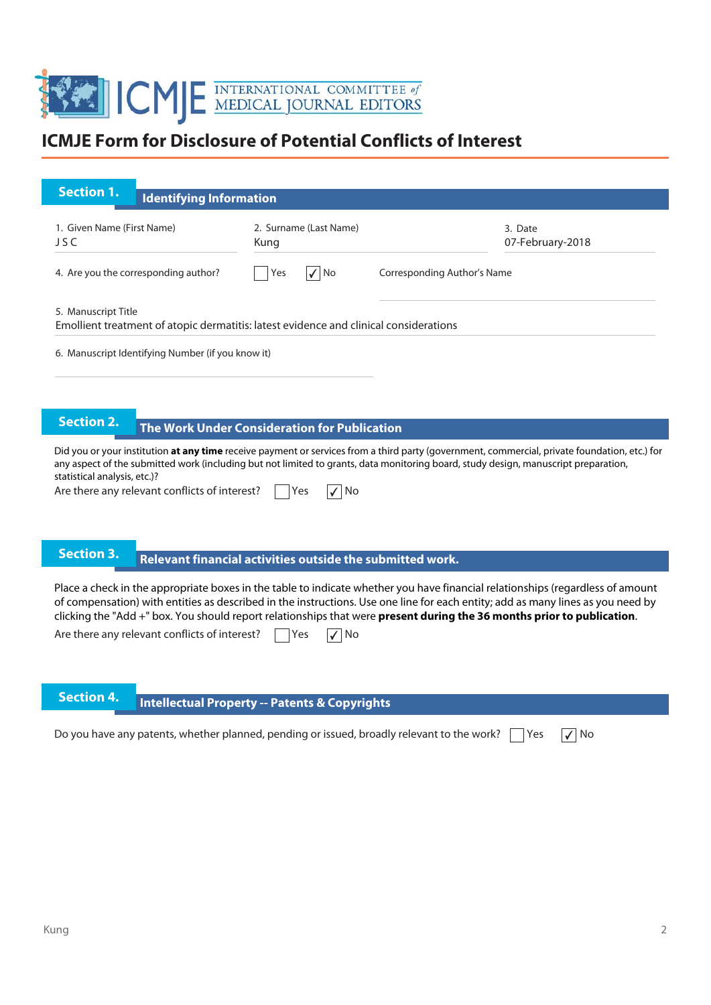

| <b>Section 1.</b>                                                                                                                                                                                                                                                                                                                                                                                                                                         | <b>Identifying Information</b>                                                        |                                |      |                                                                                                                         |  |  |
|-----------------------------------------------------------------------------------------------------------------------------------------------------------------------------------------------------------------------------------------------------------------------------------------------------------------------------------------------------------------------------------------------------------------------------------------------------------|---------------------------------------------------------------------------------------|--------------------------------|------|-------------------------------------------------------------------------------------------------------------------------|--|--|
| 1. Given Name (First Name)<br><b>JSC</b>                                                                                                                                                                                                                                                                                                                                                                                                                  |                                                                                       | 2. Surname (Last Name)<br>Kung |      | 3. Date<br>07-February-2018                                                                                             |  |  |
|                                                                                                                                                                                                                                                                                                                                                                                                                                                           | 4. Are you the corresponding author?                                                  | Yes                            | √∣No | Corresponding Author's Name                                                                                             |  |  |
| 5. Manuscript Title                                                                                                                                                                                                                                                                                                                                                                                                                                       | Emollient treatment of atopic dermatitis: latest evidence and clinical considerations |                                |      |                                                                                                                         |  |  |
| 6. Manuscript Identifying Number (if you know it)                                                                                                                                                                                                                                                                                                                                                                                                         |                                                                                       |                                |      |                                                                                                                         |  |  |
|                                                                                                                                                                                                                                                                                                                                                                                                                                                           |                                                                                       |                                |      |                                                                                                                         |  |  |
| <b>Section 2.</b>                                                                                                                                                                                                                                                                                                                                                                                                                                         | The Work Under Consideration for Publication                                          |                                |      |                                                                                                                         |  |  |
| Did you or your institution at any time receive payment or services from a third party (government, commercial, private foundation, etc.) for<br>any aspect of the submitted work (including but not limited to grants, data monitoring board, study design, manuscript preparation,<br>statistical analysis, etc.)?<br>Are there any relevant conflicts of interest?<br>No<br>Yes                                                                        |                                                                                       |                                |      |                                                                                                                         |  |  |
| <b>Section 3.</b>                                                                                                                                                                                                                                                                                                                                                                                                                                         | Relevant financial activities outside the submitted work.                             |                                |      |                                                                                                                         |  |  |
| Place a check in the appropriate boxes in the table to indicate whether you have financial relationships (regardless of amount<br>of compensation) with entities as described in the instructions. Use one line for each entity; add as many lines as you need by<br>clicking the "Add +" box. You should report relationships that were present during the 36 months prior to publication.<br>Are there any relevant conflicts of interest?<br>No<br>Yes |                                                                                       |                                |      |                                                                                                                         |  |  |
| <b>Section 4.</b>                                                                                                                                                                                                                                                                                                                                                                                                                                         | <b>Intellectual Property -- Patents &amp; Copyrights</b>                              |                                |      |                                                                                                                         |  |  |
|                                                                                                                                                                                                                                                                                                                                                                                                                                                           |                                                                                       |                                |      | Do you have any patents, whether planned, pending or issued, broadly relevant to the work?<br>No<br>Yes<br>$\checkmark$ |  |  |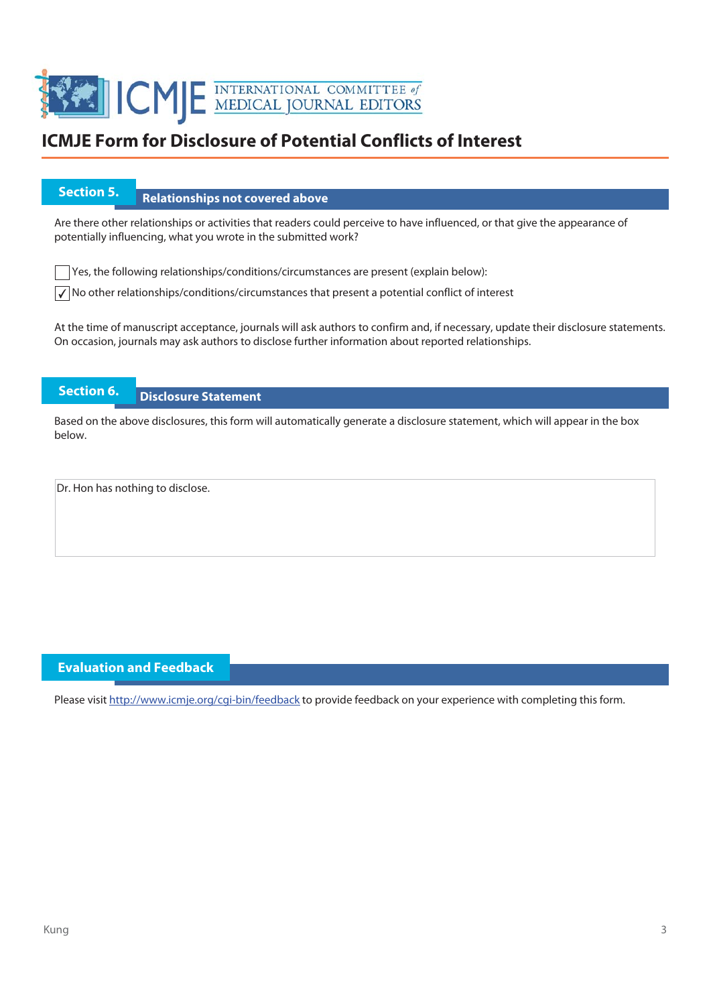

### **Section 5.** Relationships not covered above

Are there other relationships or activities that readers could perceive to have influenced, or that give the appearance of potentially influencing, what you wrote in the submitted work?

 $\Box$  Yes, the following relationships/conditions/circumstances are present (explain below):

 $\sqrt{\phantom{a}}$  No other relationships/conditions/circumstances that present a potential conflict of interest

At the time of manuscript acceptance, journals will ask authors to confirm and, if necessary, update their disclosure statements. On occasion, journals may ask authors to disclose further information about reported relationships.

### **Section 6. Disclosure Statement**

Based on the above disclosures, this form will automatically generate a disclosure statement, which will appear in the box below.

Dr. Hon has nothing to disclose.

#### **Evaluation and Feedback**

Please visit http://www.icmje.org/cgi-bin/feedback to provide feedback on your experience with completing this form.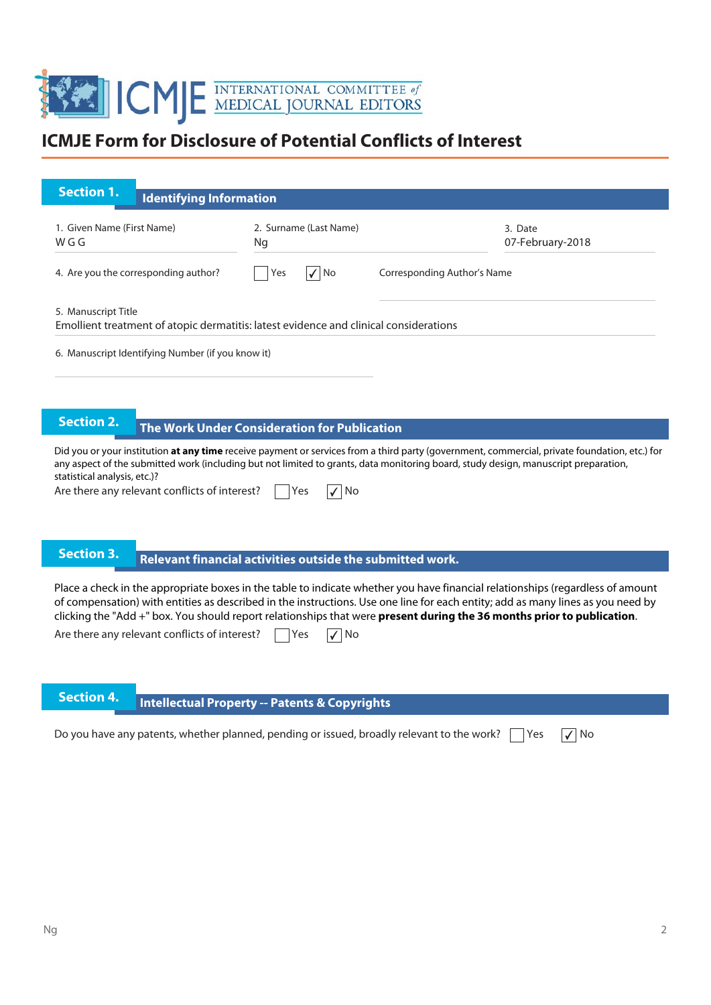

| <b>Section 1.</b>                                                                                                                                                                                                                                                                                                                                                                                                                                         | <b>Identifying Information</b>                                                        |     |                        |                                                                                            |                             |
|-----------------------------------------------------------------------------------------------------------------------------------------------------------------------------------------------------------------------------------------------------------------------------------------------------------------------------------------------------------------------------------------------------------------------------------------------------------|---------------------------------------------------------------------------------------|-----|------------------------|--------------------------------------------------------------------------------------------|-----------------------------|
| 1. Given Name (First Name)<br>W G G                                                                                                                                                                                                                                                                                                                                                                                                                       |                                                                                       | Ng  | 2. Surname (Last Name) |                                                                                            | 3. Date<br>07-February-2018 |
|                                                                                                                                                                                                                                                                                                                                                                                                                                                           | 4. Are you the corresponding author?                                                  | Yes | √∣No                   | Corresponding Author's Name                                                                |                             |
| 5. Manuscript Title                                                                                                                                                                                                                                                                                                                                                                                                                                       | Emollient treatment of atopic dermatitis: latest evidence and clinical considerations |     |                        |                                                                                            |                             |
|                                                                                                                                                                                                                                                                                                                                                                                                                                                           | 6. Manuscript Identifying Number (if you know it)                                     |     |                        |                                                                                            |                             |
|                                                                                                                                                                                                                                                                                                                                                                                                                                                           |                                                                                       |     |                        |                                                                                            |                             |
| <b>Section 2.</b>                                                                                                                                                                                                                                                                                                                                                                                                                                         |                                                                                       |     |                        |                                                                                            |                             |
| The Work Under Consideration for Publication<br>Did you or your institution at any time receive payment or services from a third party (government, commercial, private foundation, etc.) for<br>any aspect of the submitted work (including but not limited to grants, data monitoring board, study design, manuscript preparation,<br>statistical analysis, etc.)?<br>Are there any relevant conflicts of interest?<br>No<br>Yes                        |                                                                                       |     |                        |                                                                                            |                             |
| <b>Section 3.</b>                                                                                                                                                                                                                                                                                                                                                                                                                                         | Relevant financial activities outside the submitted work.                             |     |                        |                                                                                            |                             |
| Place a check in the appropriate boxes in the table to indicate whether you have financial relationships (regardless of amount<br>of compensation) with entities as described in the instructions. Use one line for each entity; add as many lines as you need by<br>clicking the "Add +" box. You should report relationships that were present during the 36 months prior to publication.<br>Are there any relevant conflicts of interest?<br>No<br>Yes |                                                                                       |     |                        |                                                                                            |                             |
| <b>Section 4.</b>                                                                                                                                                                                                                                                                                                                                                                                                                                         | <b>Intellectual Property -- Patents &amp; Copyrights</b>                              |     |                        |                                                                                            |                             |
|                                                                                                                                                                                                                                                                                                                                                                                                                                                           |                                                                                       |     |                        | Do you have any patents, whether planned, pending or issued, broadly relevant to the work? | No<br>Yes<br>$\checkmark$   |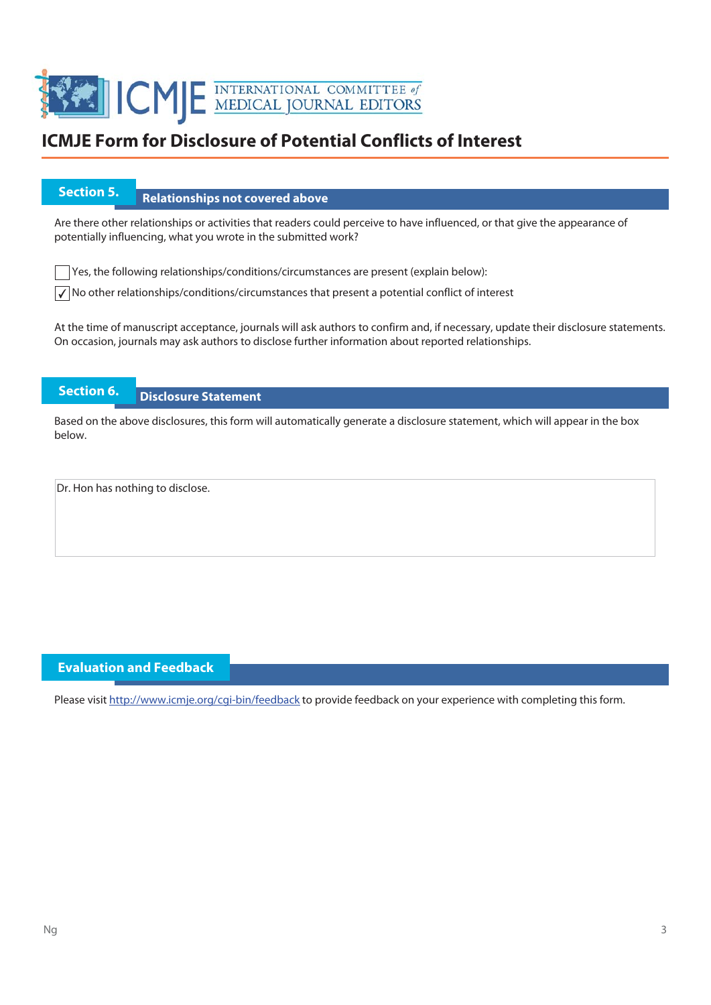

## **Section 5. Relationships not covered above**

Are there other relationships or activities that readers could perceive to have influenced, or that give the appearance of potentially influencing, what you wrote in the submitted work?

 $\Box$  Yes, the following relationships/conditions/circumstances are present (explain below):

 $\sqrt{\phantom{a}}$  No other relationships/conditions/circumstances that present a potential conflict of interest

At the time of manuscript acceptance, journals will ask authors to confirm and, if necessary, update their disclosure statements. On occasion, journals may ask authors to disclose further information about reported relationships.

### **Section 6. Disclosure Statement**

Based on the above disclosures, this form will automatically generate a disclosure statement, which will appear in the box below.

Dr. Hon has nothing to disclose.

#### **Evaluation and Feedback**

Please visit http://www.icmje.org/cqi-bin/feedback to provide feedback on your experience with completing this form.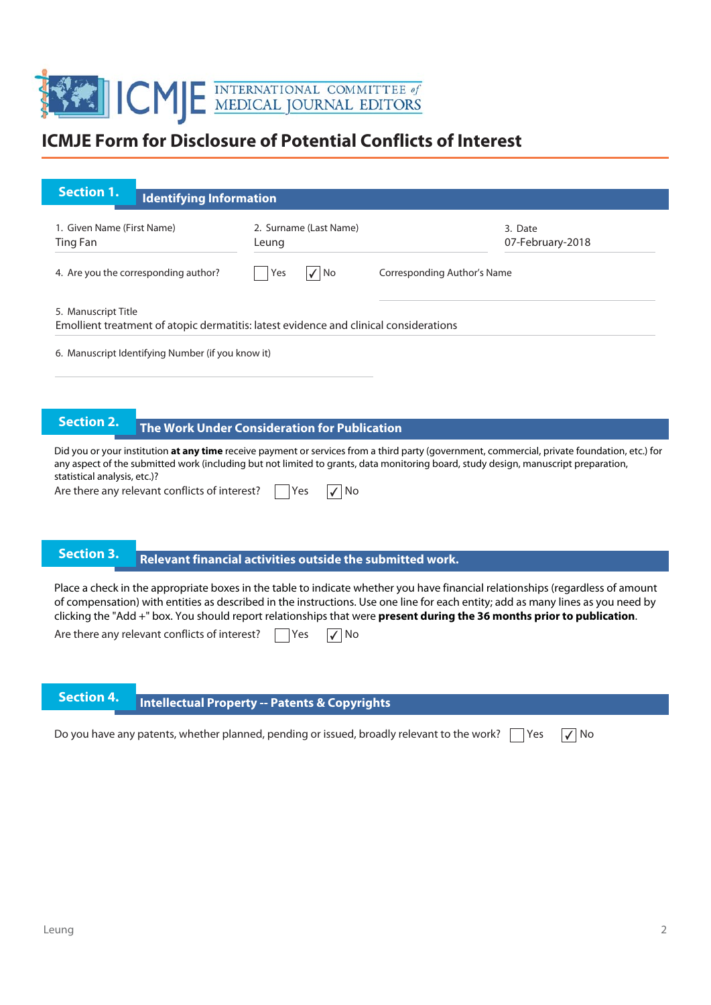

| <b>Section 1.</b>                                                                                                                                                                                                                                                                                                                                                                                                                                         | <b>Identifying Information</b>                                                        |       |                        |                                                                                                              |  |
|-----------------------------------------------------------------------------------------------------------------------------------------------------------------------------------------------------------------------------------------------------------------------------------------------------------------------------------------------------------------------------------------------------------------------------------------------------------|---------------------------------------------------------------------------------------|-------|------------------------|--------------------------------------------------------------------------------------------------------------|--|
| 1. Given Name (First Name)<br><b>Ting Fan</b>                                                                                                                                                                                                                                                                                                                                                                                                             |                                                                                       | Leung | 2. Surname (Last Name) | 3. Date<br>07-February-2018                                                                                  |  |
|                                                                                                                                                                                                                                                                                                                                                                                                                                                           | 4. Are you the corresponding author?                                                  | Yes   | $\sqrt{ N}$            | Corresponding Author's Name                                                                                  |  |
| 5. Manuscript Title                                                                                                                                                                                                                                                                                                                                                                                                                                       | Emollient treatment of atopic dermatitis: latest evidence and clinical considerations |       |                        |                                                                                                              |  |
| 6. Manuscript Identifying Number (if you know it)                                                                                                                                                                                                                                                                                                                                                                                                         |                                                                                       |       |                        |                                                                                                              |  |
|                                                                                                                                                                                                                                                                                                                                                                                                                                                           |                                                                                       |       |                        |                                                                                                              |  |
| <b>Section 2.</b><br><b>The Work Under Consideration for Publication</b>                                                                                                                                                                                                                                                                                                                                                                                  |                                                                                       |       |                        |                                                                                                              |  |
| Did you or your institution at any time receive payment or services from a third party (government, commercial, private foundation, etc.) for<br>any aspect of the submitted work (including but not limited to grants, data monitoring board, study design, manuscript preparation,<br>statistical analysis, etc.)?<br>Are there any relevant conflicts of interest?<br>No<br>Yes                                                                        |                                                                                       |       |                        |                                                                                                              |  |
| <b>Section 3.</b>                                                                                                                                                                                                                                                                                                                                                                                                                                         | Relevant financial activities outside the submitted work.                             |       |                        |                                                                                                              |  |
| Place a check in the appropriate boxes in the table to indicate whether you have financial relationships (regardless of amount<br>of compensation) with entities as described in the instructions. Use one line for each entity; add as many lines as you need by<br>clicking the "Add +" box. You should report relationships that were present during the 36 months prior to publication.<br>Are there any relevant conflicts of interest?<br>No<br>Yes |                                                                                       |       |                        |                                                                                                              |  |
| <b>Section 4.</b>                                                                                                                                                                                                                                                                                                                                                                                                                                         | <b>Intellectual Property -- Patents &amp; Copyrights</b>                              |       |                        |                                                                                                              |  |
|                                                                                                                                                                                                                                                                                                                                                                                                                                                           |                                                                                       |       |                        | Do you have any patents, whether planned, pending or issued, broadly relevant to the work?<br>No<br>Yes<br>✓ |  |